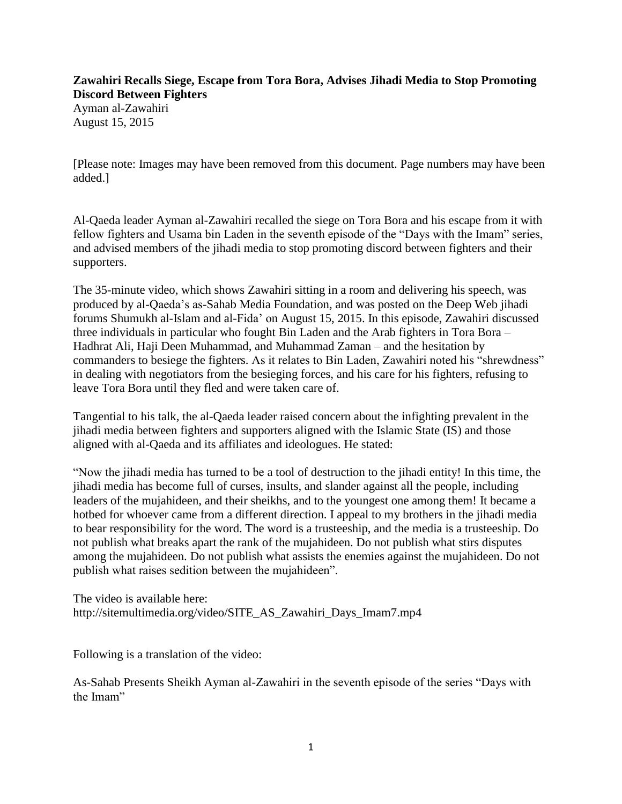## **Zawahiri Recalls Siege, Escape from Tora Bora, Advises Jihadi Media to Stop Promoting Discord Between Fighters**  Ayman al-Zawahiri August 15, 2015

[Please note: Images may have been removed from this document. Page numbers may have been added.]

Al-Qaeda leader Ayman al-Zawahiri recalled the siege on Tora Bora and his escape from it with fellow fighters and Usama bin Laden in the seventh episode of the "Days with the Imam" series, and advised members of the jihadi media to stop promoting discord between fighters and their supporters.

The 35-minute video, which shows Zawahiri sitting in a room and delivering his speech, was produced by al-Qaeda's as-Sahab Media Foundation, and was posted on the Deep Web jihadi forums Shumukh al-Islam and al-Fida' on August 15, 2015. In this episode, Zawahiri discussed three individuals in particular who fought Bin Laden and the Arab fighters in Tora Bora – Hadhrat Ali, Haji Deen Muhammad, and Muhammad Zaman – and the hesitation by commanders to besiege the fighters. As it relates to Bin Laden, Zawahiri noted his "shrewdness" in dealing with negotiators from the besieging forces, and his care for his fighters, refusing to leave Tora Bora until they fled and were taken care of.

Tangential to his talk, the al-Qaeda leader raised concern about the infighting prevalent in the jihadi media between fighters and supporters aligned with the Islamic State (IS) and those aligned with al-Qaeda and its affiliates and ideologues. He stated:

"Now the jihadi media has turned to be a tool of destruction to the jihadi entity! In this time, the jihadi media has become full of curses, insults, and slander against all the people, including leaders of the mujahideen, and their sheikhs, and to the youngest one among them! It became a hotbed for whoever came from a different direction. I appeal to my brothers in the jihadi media to bear responsibility for the word. The word is a trusteeship, and the media is a trusteeship. Do not publish what breaks apart the rank of the mujahideen. Do not publish what stirs disputes among the mujahideen. Do not publish what assists the enemies against the mujahideen. Do not publish what raises sedition between the mujahideen".

The video is available here: http://sitemultimedia.org/video/SITE\_AS\_Zawahiri\_Days\_Imam7.mp4

Following is a translation of the video:

As-Sahab Presents Sheikh Ayman al-Zawahiri in the seventh episode of the series "Days with the Imam"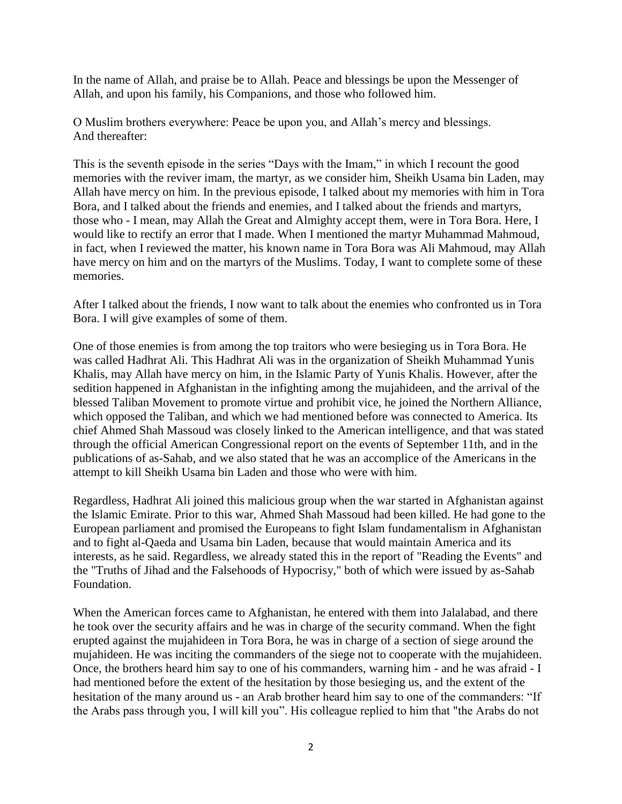In the name of Allah, and praise be to Allah. Peace and blessings be upon the Messenger of Allah, and upon his family, his Companions, and those who followed him.

O Muslim brothers everywhere: Peace be upon you, and Allah's mercy and blessings. And thereafter:

This is the seventh episode in the series "Days with the Imam," in which I recount the good memories with the reviver imam, the martyr, as we consider him, Sheikh Usama bin Laden, may Allah have mercy on him. In the previous episode, I talked about my memories with him in Tora Bora, and I talked about the friends and enemies, and I talked about the friends and martyrs, those who - I mean, may Allah the Great and Almighty accept them, were in Tora Bora. Here, I would like to rectify an error that I made. When I mentioned the martyr Muhammad Mahmoud, in fact, when I reviewed the matter, his known name in Tora Bora was Ali Mahmoud, may Allah have mercy on him and on the martyrs of the Muslims. Today, I want to complete some of these memories.

After I talked about the friends, I now want to talk about the enemies who confronted us in Tora Bora. I will give examples of some of them.

One of those enemies is from among the top traitors who were besieging us in Tora Bora. He was called Hadhrat Ali. This Hadhrat Ali was in the organization of Sheikh Muhammad Yunis Khalis, may Allah have mercy on him, in the Islamic Party of Yunis Khalis. However, after the sedition happened in Afghanistan in the infighting among the mujahideen, and the arrival of the blessed Taliban Movement to promote virtue and prohibit vice, he joined the Northern Alliance, which opposed the Taliban, and which we had mentioned before was connected to America. Its chief Ahmed Shah Massoud was closely linked to the American intelligence, and that was stated through the official American Congressional report on the events of September 11th, and in the publications of as-Sahab, and we also stated that he was an accomplice of the Americans in the attempt to kill Sheikh Usama bin Laden and those who were with him.

Regardless, Hadhrat Ali joined this malicious group when the war started in Afghanistan against the Islamic Emirate. Prior to this war, Ahmed Shah Massoud had been killed. He had gone to the European parliament and promised the Europeans to fight Islam fundamentalism in Afghanistan and to fight al-Qaeda and Usama bin Laden, because that would maintain America and its interests, as he said. Regardless, we already stated this in the report of "Reading the Events" and the "Truths of Jihad and the Falsehoods of Hypocrisy," both of which were issued by as-Sahab Foundation.

When the American forces came to Afghanistan, he entered with them into Jalalabad, and there he took over the security affairs and he was in charge of the security command. When the fight erupted against the mujahideen in Tora Bora, he was in charge of a section of siege around the mujahideen. He was inciting the commanders of the siege not to cooperate with the mujahideen. Once, the brothers heard him say to one of his commanders, warning him - and he was afraid - I had mentioned before the extent of the hesitation by those besieging us, and the extent of the hesitation of the many around us - an Arab brother heard him say to one of the commanders: "If the Arabs pass through you, I will kill you". His colleague replied to him that "the Arabs do not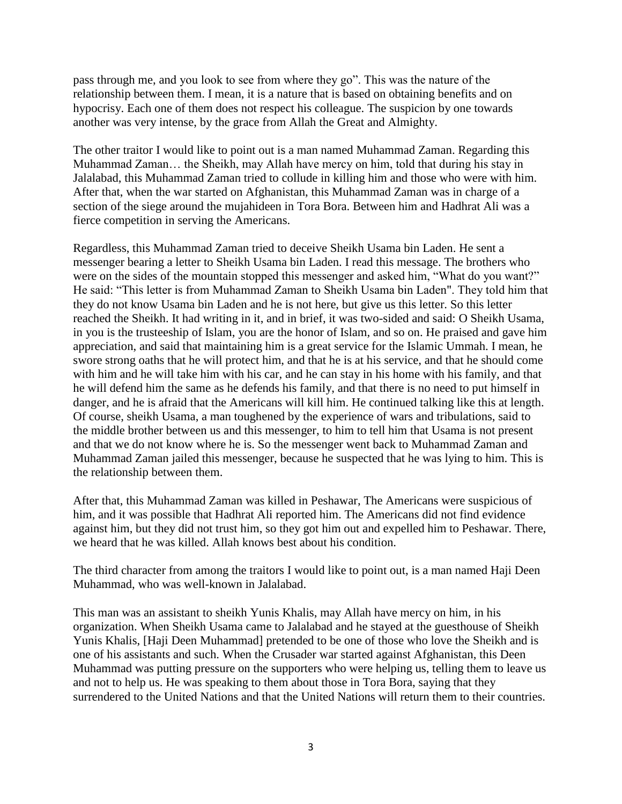pass through me, and you look to see from where they go". This was the nature of the relationship between them. I mean, it is a nature that is based on obtaining benefits and on hypocrisy. Each one of them does not respect his colleague. The suspicion by one towards another was very intense, by the grace from Allah the Great and Almighty.

The other traitor I would like to point out is a man named Muhammad Zaman. Regarding this Muhammad Zaman… the Sheikh, may Allah have mercy on him, told that during his stay in Jalalabad, this Muhammad Zaman tried to collude in killing him and those who were with him. After that, when the war started on Afghanistan, this Muhammad Zaman was in charge of a section of the siege around the mujahideen in Tora Bora. Between him and Hadhrat Ali was a fierce competition in serving the Americans.

Regardless, this Muhammad Zaman tried to deceive Sheikh Usama bin Laden. He sent a messenger bearing a letter to Sheikh Usama bin Laden. I read this message. The brothers who were on the sides of the mountain stopped this messenger and asked him, "What do you want?" He said: "This letter is from Muhammad Zaman to Sheikh Usama bin Laden". They told him that they do not know Usama bin Laden and he is not here, but give us this letter. So this letter reached the Sheikh. It had writing in it, and in brief, it was two-sided and said: O Sheikh Usama, in you is the trusteeship of Islam, you are the honor of Islam, and so on. He praised and gave him appreciation, and said that maintaining him is a great service for the Islamic Ummah. I mean, he swore strong oaths that he will protect him, and that he is at his service, and that he should come with him and he will take him with his car, and he can stay in his home with his family, and that he will defend him the same as he defends his family, and that there is no need to put himself in danger, and he is afraid that the Americans will kill him. He continued talking like this at length. Of course, sheikh Usama, a man toughened by the experience of wars and tribulations, said to the middle brother between us and this messenger, to him to tell him that Usama is not present and that we do not know where he is. So the messenger went back to Muhammad Zaman and Muhammad Zaman jailed this messenger, because he suspected that he was lying to him. This is the relationship between them.

After that, this Muhammad Zaman was killed in Peshawar, The Americans were suspicious of him, and it was possible that Hadhrat Ali reported him. The Americans did not find evidence against him, but they did not trust him, so they got him out and expelled him to Peshawar. There, we heard that he was killed. Allah knows best about his condition.

The third character from among the traitors I would like to point out, is a man named Haji Deen Muhammad, who was well-known in Jalalabad.

This man was an assistant to sheikh Yunis Khalis, may Allah have mercy on him, in his organization. When Sheikh Usama came to Jalalabad and he stayed at the guesthouse of Sheikh Yunis Khalis, [Haji Deen Muhammad] pretended to be one of those who love the Sheikh and is one of his assistants and such. When the Crusader war started against Afghanistan, this Deen Muhammad was putting pressure on the supporters who were helping us, telling them to leave us and not to help us. He was speaking to them about those in Tora Bora, saying that they surrendered to the United Nations and that the United Nations will return them to their countries.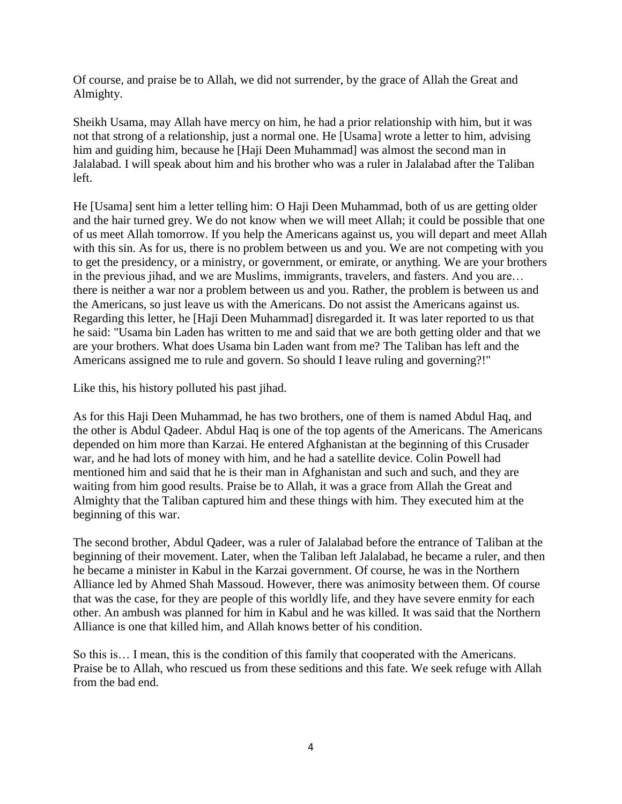Of course, and praise be to Allah, we did not surrender, by the grace of Allah the Great and Almighty.

Sheikh Usama, may Allah have mercy on him, he had a prior relationship with him, but it was not that strong of a relationship, just a normal one. He [Usama] wrote a letter to him, advising him and guiding him, because he [Haji Deen Muhammad] was almost the second man in Jalalabad. I will speak about him and his brother who was a ruler in Jalalabad after the Taliban left.

He [Usama] sent him a letter telling him: O Haji Deen Muhammad, both of us are getting older and the hair turned grey. We do not know when we will meet Allah; it could be possible that one of us meet Allah tomorrow. If you help the Americans against us, you will depart and meet Allah with this sin. As for us, there is no problem between us and you. We are not competing with you to get the presidency, or a ministry, or government, or emirate, or anything. We are your brothers in the previous jihad, and we are Muslims, immigrants, travelers, and fasters. And you are… there is neither a war nor a problem between us and you. Rather, the problem is between us and the Americans, so just leave us with the Americans. Do not assist the Americans against us. Regarding this letter, he [Haji Deen Muhammad] disregarded it. It was later reported to us that he said: "Usama bin Laden has written to me and said that we are both getting older and that we are your brothers. What does Usama bin Laden want from me? The Taliban has left and the Americans assigned me to rule and govern. So should I leave ruling and governing?!"

Like this, his history polluted his past jihad.

As for this Haji Deen Muhammad, he has two brothers, one of them is named Abdul Haq, and the other is Abdul Qadeer. Abdul Haq is one of the top agents of the Americans. The Americans depended on him more than Karzai. He entered Afghanistan at the beginning of this Crusader war, and he had lots of money with him, and he had a satellite device. Colin Powell had mentioned him and said that he is their man in Afghanistan and such and such, and they are waiting from him good results. Praise be to Allah, it was a grace from Allah the Great and Almighty that the Taliban captured him and these things with him. They executed him at the beginning of this war.

The second brother, Abdul Qadeer, was a ruler of Jalalabad before the entrance of Taliban at the beginning of their movement. Later, when the Taliban left Jalalabad, he became a ruler, and then he became a minister in Kabul in the Karzai government. Of course, he was in the Northern Alliance led by Ahmed Shah Massoud. However, there was animosity between them. Of course that was the case, for they are people of this worldly life, and they have severe enmity for each other. An ambush was planned for him in Kabul and he was killed. It was said that the Northern Alliance is one that killed him, and Allah knows better of his condition.

So this is… I mean, this is the condition of this family that cooperated with the Americans. Praise be to Allah, who rescued us from these seditions and this fate. We seek refuge with Allah from the bad end.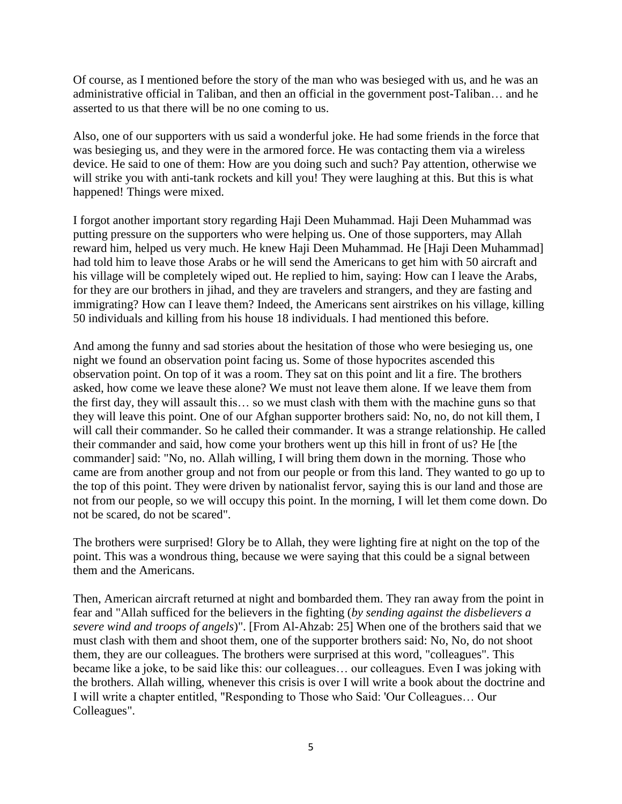Of course, as I mentioned before the story of the man who was besieged with us, and he was an administrative official in Taliban, and then an official in the government post-Taliban… and he asserted to us that there will be no one coming to us.

Also, one of our supporters with us said a wonderful joke. He had some friends in the force that was besieging us, and they were in the armored force. He was contacting them via a wireless device. He said to one of them: How are you doing such and such? Pay attention, otherwise we will strike you with anti-tank rockets and kill you! They were laughing at this. But this is what happened! Things were mixed.

I forgot another important story regarding Haji Deen Muhammad. Haji Deen Muhammad was putting pressure on the supporters who were helping us. One of those supporters, may Allah reward him, helped us very much. He knew Haji Deen Muhammad. He [Haji Deen Muhammad] had told him to leave those Arabs or he will send the Americans to get him with 50 aircraft and his village will be completely wiped out. He replied to him, saying: How can I leave the Arabs, for they are our brothers in jihad, and they are travelers and strangers, and they are fasting and immigrating? How can I leave them? Indeed, the Americans sent airstrikes on his village, killing 50 individuals and killing from his house 18 individuals. I had mentioned this before.

And among the funny and sad stories about the hesitation of those who were besieging us, one night we found an observation point facing us. Some of those hypocrites ascended this observation point. On top of it was a room. They sat on this point and lit a fire. The brothers asked, how come we leave these alone? We must not leave them alone. If we leave them from the first day, they will assault this… so we must clash with them with the machine guns so that they will leave this point. One of our Afghan supporter brothers said: No, no, do not kill them, I will call their commander. So he called their commander. It was a strange relationship. He called their commander and said, how come your brothers went up this hill in front of us? He [the commander] said: "No, no. Allah willing, I will bring them down in the morning. Those who came are from another group and not from our people or from this land. They wanted to go up to the top of this point. They were driven by nationalist fervor, saying this is our land and those are not from our people, so we will occupy this point. In the morning, I will let them come down. Do not be scared, do not be scared".

The brothers were surprised! Glory be to Allah, they were lighting fire at night on the top of the point. This was a wondrous thing, because we were saying that this could be a signal between them and the Americans.

Then, American aircraft returned at night and bombarded them. They ran away from the point in fear and "Allah sufficed for the believers in the fighting (*by sending against the disbelievers a severe wind and troops of angels*)". [From Al-Ahzab: 25] When one of the brothers said that we must clash with them and shoot them, one of the supporter brothers said: No, No, do not shoot them, they are our colleagues. The brothers were surprised at this word, "colleagues". This became like a joke, to be said like this: our colleagues… our colleagues. Even I was joking with the brothers. Allah willing, whenever this crisis is over I will write a book about the doctrine and I will write a chapter entitled, "Responding to Those who Said: 'Our Colleagues… Our Colleagues".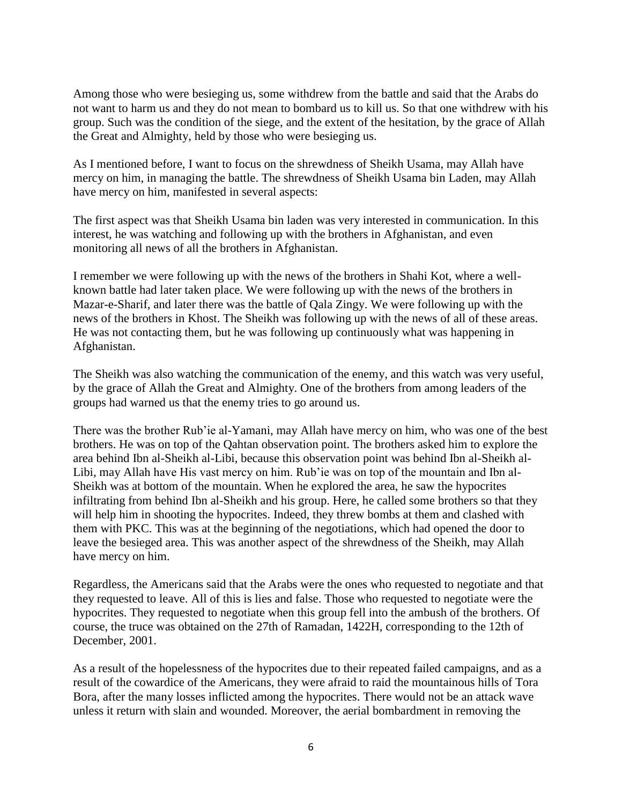Among those who were besieging us, some withdrew from the battle and said that the Arabs do not want to harm us and they do not mean to bombard us to kill us. So that one withdrew with his group. Such was the condition of the siege, and the extent of the hesitation, by the grace of Allah the Great and Almighty, held by those who were besieging us.

As I mentioned before, I want to focus on the shrewdness of Sheikh Usama, may Allah have mercy on him, in managing the battle. The shrewdness of Sheikh Usama bin Laden, may Allah have mercy on him, manifested in several aspects:

The first aspect was that Sheikh Usama bin laden was very interested in communication. In this interest, he was watching and following up with the brothers in Afghanistan, and even monitoring all news of all the brothers in Afghanistan.

I remember we were following up with the news of the brothers in Shahi Kot, where a wellknown battle had later taken place. We were following up with the news of the brothers in Mazar-e-Sharif, and later there was the battle of Qala Zingy. We were following up with the news of the brothers in Khost. The Sheikh was following up with the news of all of these areas. He was not contacting them, but he was following up continuously what was happening in Afghanistan.

The Sheikh was also watching the communication of the enemy, and this watch was very useful, by the grace of Allah the Great and Almighty. One of the brothers from among leaders of the groups had warned us that the enemy tries to go around us.

There was the brother Rub'ie al-Yamani, may Allah have mercy on him, who was one of the best brothers. He was on top of the Qahtan observation point. The brothers asked him to explore the area behind Ibn al-Sheikh al-Libi, because this observation point was behind Ibn al-Sheikh al-Libi, may Allah have His vast mercy on him. Rub'ie was on top of the mountain and Ibn al-Sheikh was at bottom of the mountain. When he explored the area, he saw the hypocrites infiltrating from behind Ibn al-Sheikh and his group. Here, he called some brothers so that they will help him in shooting the hypocrites. Indeed, they threw bombs at them and clashed with them with PKC. This was at the beginning of the negotiations, which had opened the door to leave the besieged area. This was another aspect of the shrewdness of the Sheikh, may Allah have mercy on him.

Regardless, the Americans said that the Arabs were the ones who requested to negotiate and that they requested to leave. All of this is lies and false. Those who requested to negotiate were the hypocrites. They requested to negotiate when this group fell into the ambush of the brothers. Of course, the truce was obtained on the 27th of Ramadan, 1422H, corresponding to the 12th of December, 2001.

As a result of the hopelessness of the hypocrites due to their repeated failed campaigns, and as a result of the cowardice of the Americans, they were afraid to raid the mountainous hills of Tora Bora, after the many losses inflicted among the hypocrites. There would not be an attack wave unless it return with slain and wounded. Moreover, the aerial bombardment in removing the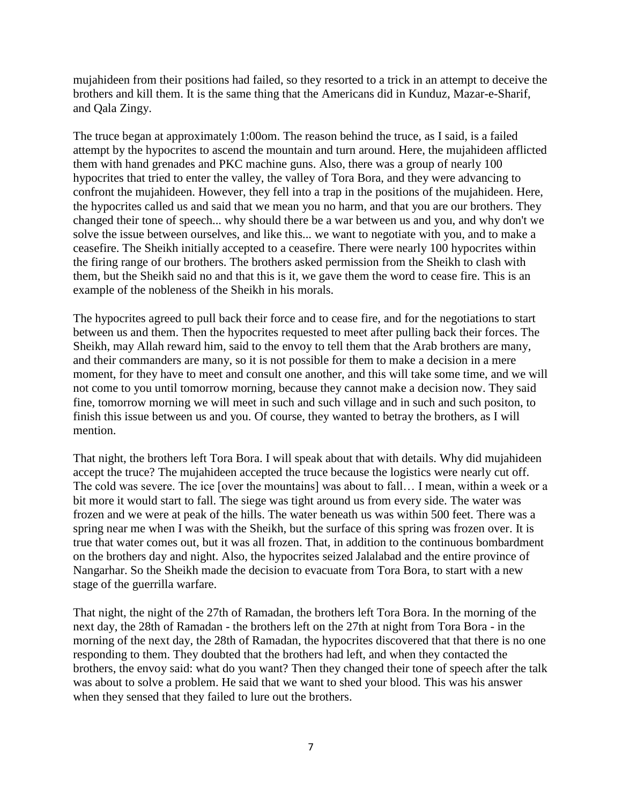mujahideen from their positions had failed, so they resorted to a trick in an attempt to deceive the brothers and kill them. It is the same thing that the Americans did in Kunduz, Mazar-e-Sharif, and Qala Zingy.

The truce began at approximately 1:00om. The reason behind the truce, as I said, is a failed attempt by the hypocrites to ascend the mountain and turn around. Here, the mujahideen afflicted them with hand grenades and PKC machine guns. Also, there was a group of nearly 100 hypocrites that tried to enter the valley, the valley of Tora Bora, and they were advancing to confront the mujahideen. However, they fell into a trap in the positions of the mujahideen. Here, the hypocrites called us and said that we mean you no harm, and that you are our brothers. They changed their tone of speech... why should there be a war between us and you, and why don't we solve the issue between ourselves, and like this... we want to negotiate with you, and to make a ceasefire. The Sheikh initially accepted to a ceasefire. There were nearly 100 hypocrites within the firing range of our brothers. The brothers asked permission from the Sheikh to clash with them, but the Sheikh said no and that this is it, we gave them the word to cease fire. This is an example of the nobleness of the Sheikh in his morals.

The hypocrites agreed to pull back their force and to cease fire, and for the negotiations to start between us and them. Then the hypocrites requested to meet after pulling back their forces. The Sheikh, may Allah reward him, said to the envoy to tell them that the Arab brothers are many, and their commanders are many, so it is not possible for them to make a decision in a mere moment, for they have to meet and consult one another, and this will take some time, and we will not come to you until tomorrow morning, because they cannot make a decision now. They said fine, tomorrow morning we will meet in such and such village and in such and such positon, to finish this issue between us and you. Of course, they wanted to betray the brothers, as I will mention.

That night, the brothers left Tora Bora. I will speak about that with details. Why did mujahideen accept the truce? The mujahideen accepted the truce because the logistics were nearly cut off. The cold was severe. The ice [over the mountains] was about to fall… I mean, within a week or a bit more it would start to fall. The siege was tight around us from every side. The water was frozen and we were at peak of the hills. The water beneath us was within 500 feet. There was a spring near me when I was with the Sheikh, but the surface of this spring was frozen over. It is true that water comes out, but it was all frozen. That, in addition to the continuous bombardment on the brothers day and night. Also, the hypocrites seized Jalalabad and the entire province of Nangarhar. So the Sheikh made the decision to evacuate from Tora Bora, to start with a new stage of the guerrilla warfare.

That night, the night of the 27th of Ramadan, the brothers left Tora Bora. In the morning of the next day, the 28th of Ramadan - the brothers left on the 27th at night from Tora Bora - in the morning of the next day, the 28th of Ramadan, the hypocrites discovered that that there is no one responding to them. They doubted that the brothers had left, and when they contacted the brothers, the envoy said: what do you want? Then they changed their tone of speech after the talk was about to solve a problem. He said that we want to shed your blood. This was his answer when they sensed that they failed to lure out the brothers.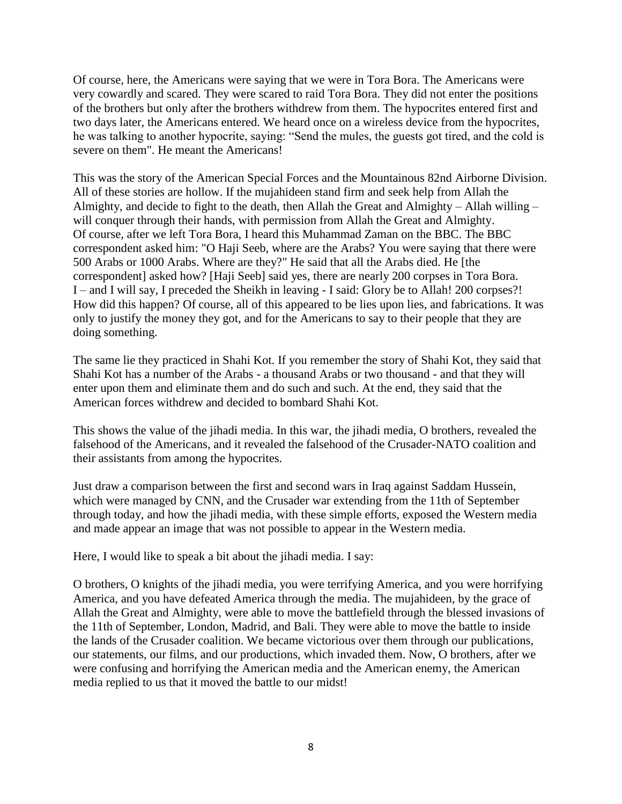Of course, here, the Americans were saying that we were in Tora Bora. The Americans were very cowardly and scared. They were scared to raid Tora Bora. They did not enter the positions of the brothers but only after the brothers withdrew from them. The hypocrites entered first and two days later, the Americans entered. We heard once on a wireless device from the hypocrites, he was talking to another hypocrite, saying: "Send the mules, the guests got tired, and the cold is severe on them". He meant the Americans!

This was the story of the American Special Forces and the Mountainous 82nd Airborne Division. All of these stories are hollow. If the mujahideen stand firm and seek help from Allah the Almighty, and decide to fight to the death, then Allah the Great and Almighty – Allah willing – will conquer through their hands, with permission from Allah the Great and Almighty. Of course, after we left Tora Bora, I heard this Muhammad Zaman on the BBC. The BBC correspondent asked him: "O Haji Seeb, where are the Arabs? You were saying that there were 500 Arabs or 1000 Arabs. Where are they?" He said that all the Arabs died. He [the correspondent] asked how? [Haji Seeb] said yes, there are nearly 200 corpses in Tora Bora. I – and I will say, I preceded the Sheikh in leaving - I said: Glory be to Allah! 200 corpses?! How did this happen? Of course, all of this appeared to be lies upon lies, and fabrications. It was only to justify the money they got, and for the Americans to say to their people that they are doing something.

The same lie they practiced in Shahi Kot. If you remember the story of Shahi Kot, they said that Shahi Kot has a number of the Arabs - a thousand Arabs or two thousand - and that they will enter upon them and eliminate them and do such and such. At the end, they said that the American forces withdrew and decided to bombard Shahi Kot.

This shows the value of the jihadi media. In this war, the jihadi media, O brothers, revealed the falsehood of the Americans, and it revealed the falsehood of the Crusader-NATO coalition and their assistants from among the hypocrites.

Just draw a comparison between the first and second wars in Iraq against Saddam Hussein, which were managed by CNN, and the Crusader war extending from the 11th of September through today, and how the jihadi media, with these simple efforts, exposed the Western media and made appear an image that was not possible to appear in the Western media.

Here, I would like to speak a bit about the jihadi media. I say:

O brothers, O knights of the jihadi media, you were terrifying America, and you were horrifying America, and you have defeated America through the media. The mujahideen, by the grace of Allah the Great and Almighty, were able to move the battlefield through the blessed invasions of the 11th of September, London, Madrid, and Bali. They were able to move the battle to inside the lands of the Crusader coalition. We became victorious over them through our publications, our statements, our films, and our productions, which invaded them. Now, O brothers, after we were confusing and horrifying the American media and the American enemy, the American media replied to us that it moved the battle to our midst!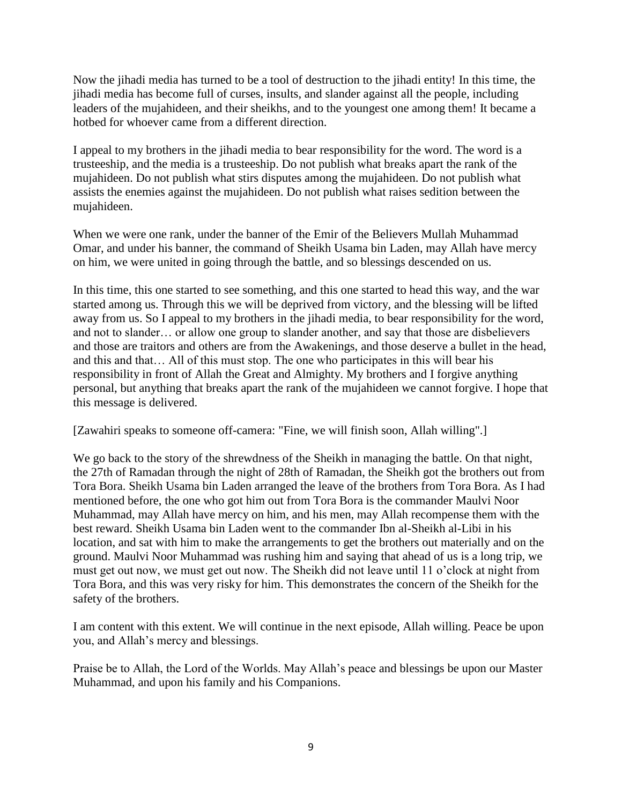Now the jihadi media has turned to be a tool of destruction to the jihadi entity! In this time, the jihadi media has become full of curses, insults, and slander against all the people, including leaders of the mujahideen, and their sheikhs, and to the youngest one among them! It became a hotbed for whoever came from a different direction.

I appeal to my brothers in the jihadi media to bear responsibility for the word. The word is a trusteeship, and the media is a trusteeship. Do not publish what breaks apart the rank of the mujahideen. Do not publish what stirs disputes among the mujahideen. Do not publish what assists the enemies against the mujahideen. Do not publish what raises sedition between the mujahideen.

When we were one rank, under the banner of the Emir of the Believers Mullah Muhammad Omar, and under his banner, the command of Sheikh Usama bin Laden, may Allah have mercy on him, we were united in going through the battle, and so blessings descended on us.

In this time, this one started to see something, and this one started to head this way, and the war started among us. Through this we will be deprived from victory, and the blessing will be lifted away from us. So I appeal to my brothers in the jihadi media, to bear responsibility for the word, and not to slander… or allow one group to slander another, and say that those are disbelievers and those are traitors and others are from the Awakenings, and those deserve a bullet in the head, and this and that… All of this must stop. The one who participates in this will bear his responsibility in front of Allah the Great and Almighty. My brothers and I forgive anything personal, but anything that breaks apart the rank of the mujahideen we cannot forgive. I hope that this message is delivered.

[Zawahiri speaks to someone off-camera: "Fine, we will finish soon, Allah willing".]

We go back to the story of the shrewdness of the Sheikh in managing the battle. On that night, the 27th of Ramadan through the night of 28th of Ramadan, the Sheikh got the brothers out from Tora Bora. Sheikh Usama bin Laden arranged the leave of the brothers from Tora Bora. As I had mentioned before, the one who got him out from Tora Bora is the commander Maulvi Noor Muhammad, may Allah have mercy on him, and his men, may Allah recompense them with the best reward. Sheikh Usama bin Laden went to the commander Ibn al-Sheikh al-Libi in his location, and sat with him to make the arrangements to get the brothers out materially and on the ground. Maulvi Noor Muhammad was rushing him and saying that ahead of us is a long trip, we must get out now, we must get out now. The Sheikh did not leave until 11 o'clock at night from Tora Bora, and this was very risky for him. This demonstrates the concern of the Sheikh for the safety of the brothers.

I am content with this extent. We will continue in the next episode, Allah willing. Peace be upon you, and Allah's mercy and blessings.

Praise be to Allah, the Lord of the Worlds. May Allah's peace and blessings be upon our Master Muhammad, and upon his family and his Companions.